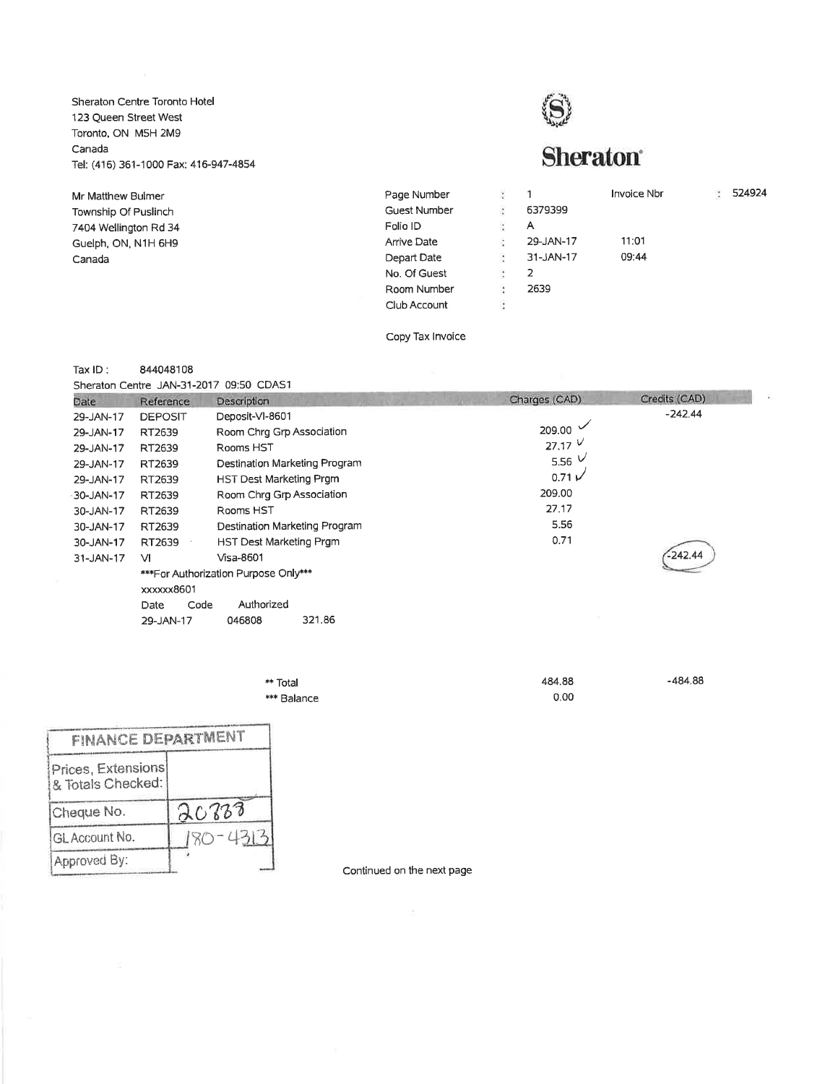Sheraton Centre Toronto Hotel 123 Queen Street West Toronto, ON MSH 2Mg Canada Tel: (416) 361-1000 Fax: 416-947-4854

Mr Matthew Bulmer Township Of Puslinch 7404 Wellington Rd 34 Guelph, ON, N1H 6H9 Canada

**Sheraton**<sup>®</sup>

| ă<br>Page Number    |    | 1         | <b>Invoice Nbr</b> | ÷ | 524924 |
|---------------------|----|-----------|--------------------|---|--------|
| <b>Guest Number</b> | ċ  | 6379399   |                    |   |        |
| Folio ID            | ã  | A         |                    |   |        |
| <b>Arrive Date</b>  | s  | 29-JAN-17 | 11:01              |   |        |
| Depart Date         | g. | 31-JAN-17 | 09:44              |   |        |
| No. Of Guest        | ž  | 2         |                    |   |        |
| Room Number         | ä. | 2639      |                    |   |        |
| Club Account        | Ü. |           |                    |   |        |
|                     |    |           |                    |   |        |

Copy Tax lnvoice

## Tax lD: <sup>844048108</sup>

Sheraton Centre JAN-31-2017 09:50 CDAS1

| Date.     | Reference      | Description                          | Charges (CAD)  | Credits (CAD) |
|-----------|----------------|--------------------------------------|----------------|---------------|
| 29-JAN-17 | <b>DEPOSIT</b> | Deposit-VI-8601                      |                | $-242.44$     |
| 29-JAN-17 | RT2639         | Room Chrq Grp Association            | 209.00         |               |
| 29-JAN-17 | RT2639         | Rooms HST                            | $27.17$ $\vee$ |               |
| 29-JAN-17 | RT2639         | Destination Marketing Program        | 5.56 $\vee$    |               |
| 29-JAN-17 | RT2639         | HST Dest Marketing Prgm              | 0.71V          |               |
| 30-JAN-17 | RT2639         | Room Chrq Grp Association            | 209.00         |               |
| 30-JAN-17 | RT2639         | Rooms HST                            | 27.17          |               |
| 30-JAN-17 | RT2639         | Destination Marketing Program        | 5.56           |               |
| 30-JAN-17 | RT2639         | HST Dest Marketing Prgm              | 0.71           |               |
| 31-JAN-17 | <b>VI</b>      | Visa-8601                            |                | $-242.44$     |
|           |                | ***For Authorization Purpose Only*** |                |               |
|           | xxxxxx8601     |                                      |                |               |
|           | Code<br>Date   | Authorized                           |                |               |
|           | 29-JAN-17      | 321.86<br>046808                     |                |               |
|           |                |                                      |                |               |

| ** Total    | 484.88 | $-484.88$ |
|-------------|--------|-----------|
| *** Balance | 0.00   |           |

| <b>FINANCE DEPARTMENT</b>               |              |
|-----------------------------------------|--------------|
| Prices, Extensions<br>& Totals Checked: |              |
| Cheque No.                              | 20233        |
| GL Account No.                          | $180 - 4313$ |
| Approved By:                            |              |

Continued on ihe next page